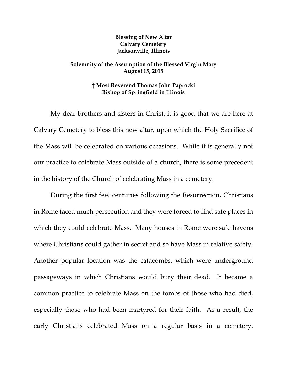## **Blessing of New Altar Calvary Cemetery Jacksonville, Illinois**

## **Solemnity of the Assumption of the Blessed Virgin Mary August 15, 2015**

## **† Most Reverend Thomas John Paprocki Bishop of Springfield in Illinois**

My dear brothers and sisters in Christ, it is good that we are here at Calvary Cemetery to bless this new altar, upon which the Holy Sacrifice of the Mass will be celebrated on various occasions. While it is generally not our practice to celebrate Mass outside of a church, there is some precedent in the history of the Church of celebrating Mass in a cemetery.

 During the first few centuries following the Resurrection, Christians in Rome faced much persecution and they were forced to find safe places in which they could celebrate Mass. Many houses in Rome were safe havens where Christians could gather in secret and so have Mass in relative safety. Another popular location was the catacombs, which were underground passageways in which Christians would bury their dead. It became a common practice to celebrate Mass on the tombs of those who had died, especially those who had been martyred for their faith. As a result, the early Christians celebrated Mass on a regular basis in a cemetery.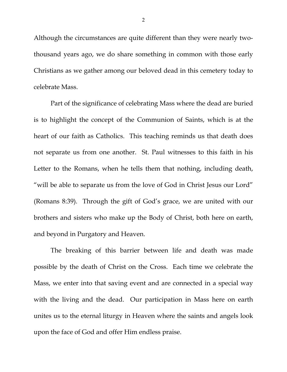Although the circumstances are quite different than they were nearly twothousand years ago, we do share something in common with those early Christians as we gather among our beloved dead in this cemetery today to celebrate Mass.

 Part of the significance of celebrating Mass where the dead are buried is to highlight the concept of the Communion of Saints, which is at the heart of our faith as Catholics. This teaching reminds us that death does not separate us from one another. St. Paul witnesses to this faith in his Letter to the Romans, when he tells them that nothing, including death, "will be able to separate us from the love of God in Christ Jesus our Lord" (Romans 8:39). Through the gift of God's grace, we are united with our brothers and sisters who make up the Body of Christ, both here on earth, and beyond in Purgatory and Heaven.

 The breaking of this barrier between life and death was made possible by the death of Christ on the Cross. Each time we celebrate the Mass, we enter into that saving event and are connected in a special way with the living and the dead. Our participation in Mass here on earth unites us to the eternal liturgy in Heaven where the saints and angels look upon the face of God and offer Him endless praise.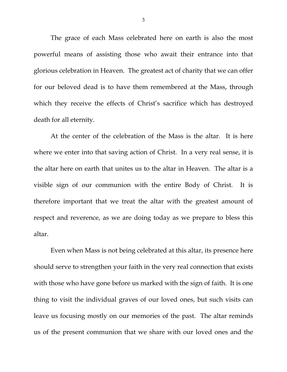The grace of each Mass celebrated here on earth is also the most powerful means of assisting those who await their entrance into that glorious celebration in Heaven. The greatest act of charity that we can offer for our beloved dead is to have them remembered at the Mass, through which they receive the effects of Christ's sacrifice which has destroyed death for all eternity.

 At the center of the celebration of the Mass is the altar. It is here where we enter into that saving action of Christ. In a very real sense, it is the altar here on earth that unites us to the altar in Heaven. The altar is a visible sign of our communion with the entire Body of Christ. It is therefore important that we treat the altar with the greatest amount of respect and reverence, as we are doing today as we prepare to bless this altar.

 Even when Mass is not being celebrated at this altar, its presence here should serve to strengthen your faith in the very real connection that exists with those who have gone before us marked with the sign of faith. It is one thing to visit the individual graves of our loved ones, but such visits can leave us focusing mostly on our memories of the past. The altar reminds us of the present communion that we share with our loved ones and the

3